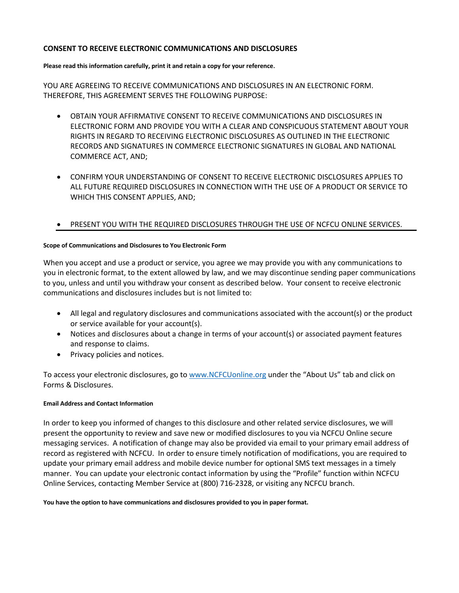### **CONSENT TO RECEIVE ELECTRONIC COMMUNICATIONS AND DISCLOSURES**

### **Please read this information carefully, print it and retain a copy for your reference**.

YOU ARE AGREEING TO RECEIVE COMMUNICATIONS AND DISCLOSURES IN AN ELECTRONIC FORM. THEREFORE, THIS AGREEMENT SERVES THE FOLLOWING PURPOSE:

- OBTAIN YOUR AFFIRMATIVE CONSENT TO RECEIVE COMMUNICATIONS AND DISCLOSURES IN ELECTRONIC FORM AND PROVIDE YOU WITH A CLEAR AND CONSPICUOUS STATEMENT ABOUT YOUR RIGHTS IN REGARD TO RECEIVING ELECTRONIC DISCLOSURES AS OUTLINED IN THE ELECTRONIC RECORDS AND SIGNATURES IN COMMERCE ELECTRONIC SIGNATURES IN GLOBAL AND NATIONAL COMMERCE ACT, AND;
- CONFIRM YOUR UNDERSTANDING OF CONSENT TO RECEIVE ELECTRONIC DISCLOSURES APPLIES TO ALL FUTURE REQUIRED DISCLOSURES IN CONNECTION WITH THE USE OF A PRODUCT OR SERVICE TO WHICH THIS CONSENT APPLIES, AND;

# • PRESENT YOU WITH THE REQUIRED DISCLOSURES THROUGH THE USE OF NCFCU ONLINE SERVICES.

## **Scope of Communications and Disclosures to You Electronic Form**

When you accept and use a product or service, you agree we may provide you with any communications to you in electronic format, to the extent allowed by law, and we may discontinue sending paper communications to you, unless and until you withdraw your consent as described below. Your consent to receive electronic communications and disclosures includes but is not limited to:

- All legal and regulatory disclosures and communications associated with the account(s) or the product or service available for your account(s).
- Notices and disclosures about a change in terms of your account(s) or associated payment features and response to claims.
- Privacy policies and notices.

To access your electronic disclosures, go to www.NCFCUonline.org under the "About Us" tab and click on Forms & Disclosures.

## **Email Address and Contact Information**

In order to keep you informed of changes to this disclosure and other related service disclosures, we will present the opportunity to review and save new or modified disclosures to you via NCFCU Online secure messaging services. A notification of change may also be provided via email to your primary email address of record as registered with NCFCU. In order to ensure timely notification of modifications, you are required to update your primary email address and mobile device number for optional SMS text messages in a timely manner. You can update your electronic contact information by using the "Profile" function within NCFCU Online Services, contacting Member Service at (800) 716-2328, or visiting any NCFCU branch.

**You have the option to have communications and disclosures provided to you in paper format.**